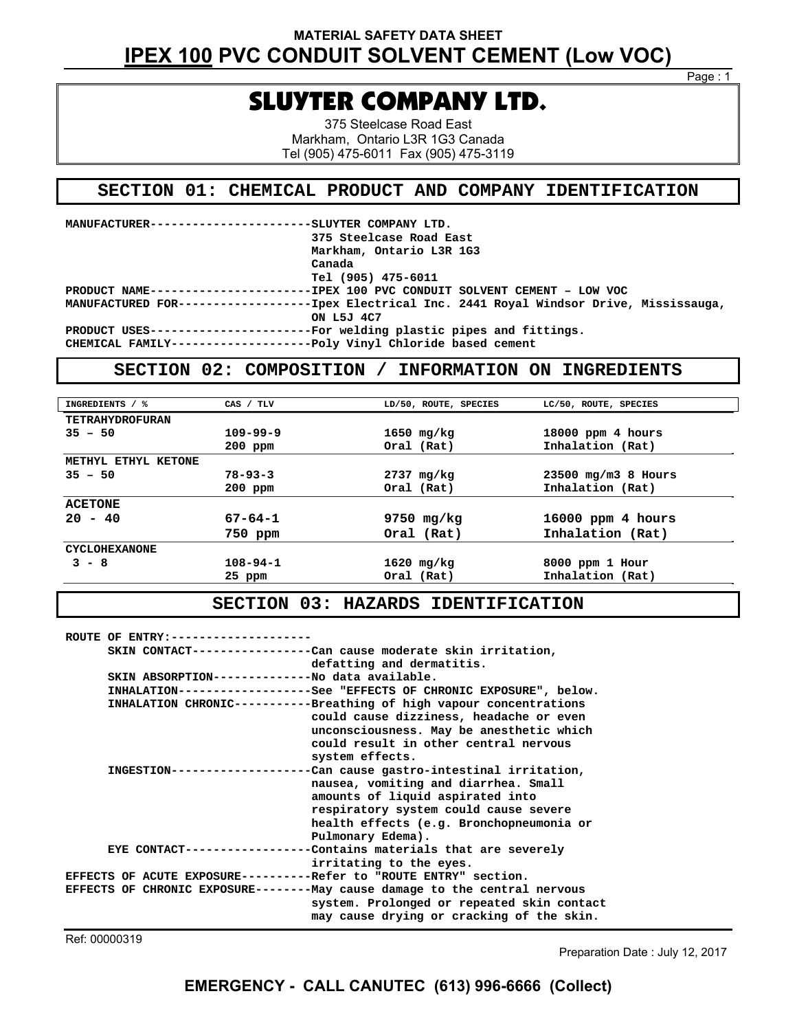Page : 1

# SLUYTER COMPANY LTD.

375 Steelcase Road East Markham, Ontario L3R 1G3 Canada Tel (905) 475-6011 Fax (905) 475-3119

### **SECTION 01: CHEMICAL PRODUCT AND COMPANY IDENTIFICATION**

| MANUFACTURER----------------------SLUYTER COMPANY LTD. |                                                                                                                     |
|--------------------------------------------------------|---------------------------------------------------------------------------------------------------------------------|
|                                                        | 375 Steelcase Road East                                                                                             |
|                                                        | Markham, Ontario L3R 1G3                                                                                            |
|                                                        | Canada                                                                                                              |
|                                                        | Tel (905) 475-6011                                                                                                  |
|                                                        | PRODUCT NAME------------------------IPEX 100 PVC CONDUIT SOLVENT CEMENT - LOW VOC                                   |
|                                                        | MANUFACTURED FOR------------------------- Tpex Electrical Inc. 2441 Royal Windsor Drive, Mississauga,<br>ON L5J 4C7 |
|                                                        | PRODUCT USES-----------------------For welding plastic pipes and fittings.                                          |
|                                                        | CHEMICAL FAMILY-----------------------Poly Vinyl Chloride based cement                                              |

**Vinyl Chloride based ce** 

### **SECTION 02: COMPOSITION / INFORMATION ON INGREDIENTS**

| INGREDIENTS / %        | CAS / TLV      | LD/50, ROUTE, SPECIES | LC/50, ROUTE, SPECIES |
|------------------------|----------------|-----------------------|-----------------------|
| <b>TETRAHYDROFURAN</b> |                |                       |                       |
| $35 - 50$              | $109 - 99 - 9$ | 1650 mg/kg            | $18000$ ppm 4 hours   |
|                        | $200$ ppm      | Oral (Rat)            | Inhalation (Rat)      |
| METHYL ETHYL KETONE    |                |                       |                       |
| $35 - 50$              | $78 - 93 - 3$  | 2737 mg/kg            | $23500$ mg/m3 8 Hours |
|                        | $200$ ppm      | Oral (Rat)            | Inhalation (Rat)      |
| <b>ACETONE</b>         |                |                       |                       |
| $20 - 40$              | $67 - 64 - 1$  | $9750$ mg/kg          | $16000$ ppm 4 hours   |
|                        | 750 ppm        | Oral (Rat)            | Inhalation (Rat)      |
| <b>CYCLOHEXANONE</b>   |                |                       |                       |
| $3 - 8$                | $108 - 94 - 1$ | $1620$ mg/kg          | 8000 ppm 1 Hour       |
|                        | 25 ppm         | Oral (Rat)            | Inhalation (Rat)      |
|                        |                |                       |                       |

### **SECTION 03: HAZARDS IDENTIFICATION**

|                   | ROUTE OF ENTRY: ------------------              |                                                                            |
|-------------------|-------------------------------------------------|----------------------------------------------------------------------------|
|                   |                                                 | SKIN CONTACT-----------------Can cause moderate skin irritation,           |
|                   |                                                 | defatting and dermatitis.                                                  |
|                   | SKIN ABSORPTION--------------No data available. |                                                                            |
|                   |                                                 | INHALATION------------------See "EFFECTS OF CHRONIC EXPOSURE", below.      |
|                   |                                                 | INHALATION CHRONIC----------Breathing of high vapour concentrations        |
|                   |                                                 | could cause dizziness, headache or even                                    |
|                   |                                                 | unconsciousness. May be anesthetic which                                   |
|                   |                                                 | could result in other central nervous                                      |
|                   |                                                 | system effects.                                                            |
|                   | INGESTION-------------------                    | -Can cause gastro-intestinal irritation,                                   |
|                   |                                                 | nausea, vomiting and diarrhea. Small                                       |
|                   |                                                 | amounts of liquid aspirated into                                           |
|                   |                                                 | respiratory system could cause severe                                      |
|                   |                                                 | health effects (e.g. Bronchopneumonia or                                   |
| Pulmonary Edema). |                                                 |                                                                            |
|                   |                                                 | EYE CONTACT------------------Contains materials that are severely          |
|                   |                                                 | irritating to the eyes.                                                    |
|                   |                                                 | EFFECTS OF ACUTE EXPOSURE----------Refer to "ROUTE ENTRY" section.         |
|                   |                                                 | EFFECTS OF CHRONIC EXPOSURE--------May cause damage to the central nervous |
|                   |                                                 | system. Prolonged or repeated skin contact                                 |
|                   |                                                 | may cause drying or cracking of the skin.                                  |

Ref: 00000319

Preparation Date : July 12, 2017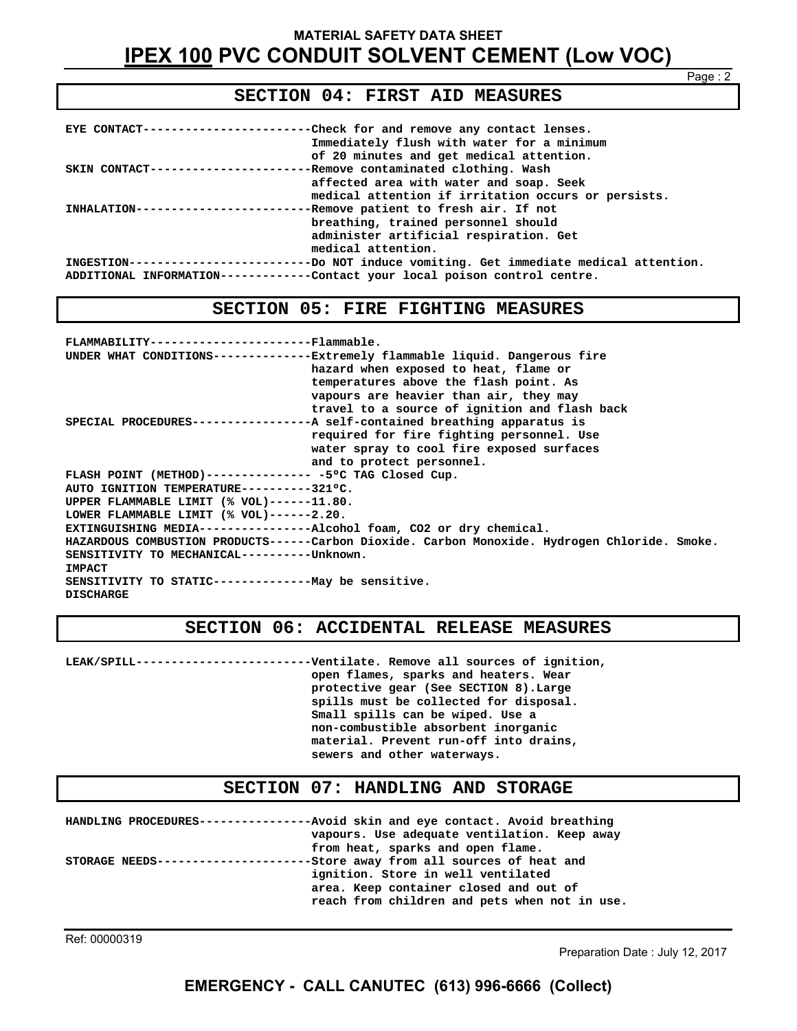#### Page : 2

### **SECTION 04: FIRST AID MEASURES**

| EYE CONTACT-------------------------Check for and remove any contact lenses.<br>Immediately flush with water for a minimum<br>of 20 minutes and get medical attention. |
|------------------------------------------------------------------------------------------------------------------------------------------------------------------------|
| SKIN CONTACT-----------------------Remove contaminated clothing. Wash                                                                                                  |
| affected area with water and soap. Seek                                                                                                                                |
| medical attention if irritation occurs or persists.                                                                                                                    |
| INHALATION--------------------------Remove patient to fresh air. If not                                                                                                |
| breathing, trained personnel should                                                                                                                                    |
| administer artificial respiration. Get                                                                                                                                 |
| medical attention.                                                                                                                                                     |
| INGESTION------------------------Do NOT induce vomiting. Get immediate medical attention.                                                                              |
| ADDITIONAL INFORMATION------------Contact your local poison control centre.                                                                                            |

#### **SECTION 05: FIRE FIGHTING MEASURES**

| FLAMMABILITY-----------------------Flammable.                         |                                                                                               |
|-----------------------------------------------------------------------|-----------------------------------------------------------------------------------------------|
|                                                                       | UNDER WHAT CONDITIONS-------------Extremely flammable liquid. Dangerous fire                  |
|                                                                       | hazard when exposed to heat, flame or                                                         |
|                                                                       | temperatures above the flash point. As                                                        |
|                                                                       | vapours are heavier than air, they may                                                        |
|                                                                       | travel to a source of ignition and flash back                                                 |
|                                                                       | SPECIAL PROCEDURES----------------A self-contained breathing apparatus is                     |
|                                                                       | required for fire fighting personnel. Use                                                     |
|                                                                       | water spray to cool fire exposed surfaces                                                     |
|                                                                       | and to protect personnel.                                                                     |
| FLASH POINT (METHOD)--------------- -5°C TAG Closed Cup.              |                                                                                               |
| AUTO IGNITION TEMPERATURE---------321°C.                              |                                                                                               |
| UPPER FLAMMABLE LIMIT (% VOL)------11.80.                             |                                                                                               |
| LOWER FLAMMABLE LIMIT (% VOL)------2.20.                              |                                                                                               |
| EXTINGUISHING MEDIA----------------Alcohol foam, CO2 or dry chemical. |                                                                                               |
|                                                                       | HAZARDOUS COMBUSTION PRODUCTS------Carbon Dioxide. Carbon Monoxide. Hydrogen Chloride. Smoke. |
| SENSITIVITY TO MECHANICAL----------Unknown.                           |                                                                                               |
| <b>IMPACT</b>                                                         |                                                                                               |
| SENSITIVITY TO STATIC---------------May be sensitive.                 |                                                                                               |
| <b>DISCHARGE</b>                                                      |                                                                                               |

#### **SECTION 06: ACCIDENTAL RELEASE MEASURES**

**LEAK/SPILL-------------------------Ventilate. Remove all sources of ignition, open flames, sparks and heaters. Wear protective gear (See SECTION 8).Large spills must be collected for disposal. Small spills can be wiped. Use a non-combustible absorbent inorganic material. Prevent run-off into drains, sewers and other waterways.** 

### **SECTION 07: HANDLING AND STORAGE**

**HANDLING PROCEDURES----------------Avoid skin and eye contact. Avoid breathing vapours. Use adequate ventilation. Keep away from heat, sparks and open flame. STORAGE NEEDS----------------------Store away from all sources of heat and ignition. Store in well ventilated area. Keep container closed and out of reach from children and pets when not in use.** 

Ref: 00000319

Preparation Date : July 12, 2017

### **EMERGENCY - CALL CANUTEC (613) 996-6666 (Collect)**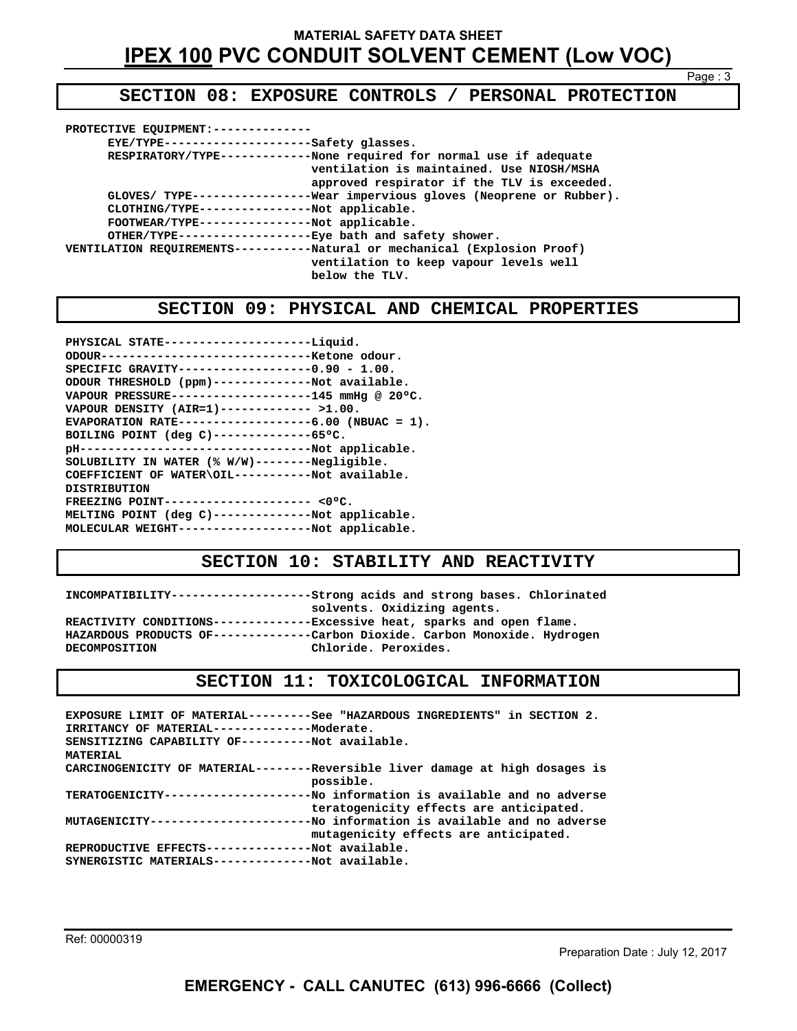**SECTION 08: EXPOSURE CONTROLS / PERSONAL PROTECTION** 

| PROTECTIVE EQUIPMENT:-------                                                                                                                                                     |
|----------------------------------------------------------------------------------------------------------------------------------------------------------------------------------|
| EYE/TYPE---------------------Safety glasses.                                                                                                                                     |
| RESPIRATORY/TYPE------------None required for normal use if adequate<br>ventilation is maintained. Use NIOSH/MSHA<br>approved respirator if the TLV is exceeded.                 |
| GLOVES/ TYPE-----------------Wear impervious gloves (Neoprene or Rubber).<br>CLOTHING/TYPE----------------Not applicable.<br>FOOTWEAR/TYPE----------------Not applicable.        |
| OTHER/TYPE-------------------Eye bath and safety shower.<br>VENTILATION REQUIREMENTS-----------Natural or mechanical (Explosion Proof)<br>ventilation to keep vapour levels well |
| below the TLV.                                                                                                                                                                   |

### **SECTION 09: PHYSICAL AND CHEMICAL PROPERTIES**

| PHYSICAL STATE---------------------Liquid.          |
|-----------------------------------------------------|
| ODOUR---------------------------------Ketone odour. |
| SPECIFIC GRAVITY-------------------0.90 - 1.00.     |
| ODOUR THRESHOLD (ppm)--------------Not available.   |
| VAPOUR PRESSURE-------------------145 mmHq @ 20°C.  |
| VAPOUR DENSITY (AIR=1)------------- >1.00.          |
| EVAPORATION RATE------------------6.00 (NBUAC = 1). |
| BOILING POINT (deg C)--------------65°C.            |
|                                                     |
| SOLUBILITY IN WATER (% W/W)--------Negligible.      |
| COEFFICIENT OF WATER\OIL-----------Not available.   |
| <b>DISTRIBUTION</b>                                 |
| FREEZING POINT--------------------- <0°C.           |
| MELTING POINT (deg C)--------------Not applicable.  |
| MOLECULAR WEIGHT-------------------Not applicable.  |
|                                                     |

### **SECTION 10: STABILITY AND REACTIVITY**

**INCOMPATIBILITY--------------------Strong acids and strong bases. Chlorinated solvents. Oxidizing agents. REACTIVITY CONDITIONS--------------Excessive heat, sparks and open flame. HAZARDOUS PRODUCTS OF--------------Carbon Dioxide. Carbon Monoxide. Hydrogen DECOMPOSITION Chloride. Peroxides.** 

### **SECTION 11: TOXICOLOGICAL INFORMATION**

**EXPOSURE LIMIT OF MATERIAL---------See "HAZARDOUS INGREDIENTS" in SECTION 2. IRRITANCY OF MATERIAL--------------Moderate. SENSITIZING CAPABILITY OF----------Not available. MATERIAL CARCINOGENICITY OF MATERIAL--------Reversible liver damage at high dosages is possible. TERATOGENICITY---------------------No information is available and no adverse teratogenicity effects are anticipated. MUTAGENICITY-----------------------No information is available and no adverse mutagenicity effects are anticipated. REPRODUCTIVE EFFECTS---------------Not available. SYNERGISTIC MATERIALS--------------Not available.** 

Ref: 00000319

Preparation Date : July 12, 2017

Page : 3